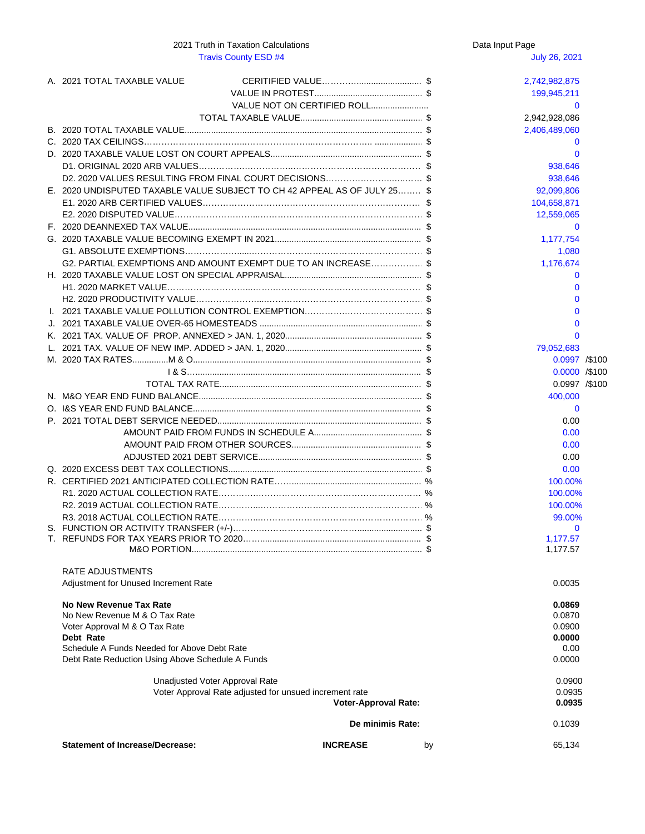Data Input Page

| No New Revenue Tax Rate                                |                             |    | 0.0869 |  |  |
|--------------------------------------------------------|-----------------------------|----|--------|--|--|
| No New Revenue M & O Tax Rate                          |                             |    | 0.0870 |  |  |
| Voter Approval M & O Tax Rate                          |                             |    | 0.0900 |  |  |
| Debt Rate                                              |                             |    | 0.0000 |  |  |
| Schedule A Funds Needed for Above Debt Rate            | 0.00                        |    |        |  |  |
| Debt Rate Reduction Using Above Schedule A Funds       |                             |    |        |  |  |
| Unadjusted Voter Approval Rate                         |                             |    | 0.0900 |  |  |
| Voter Approval Rate adjusted for unsued increment rate |                             |    | 0.0935 |  |  |
|                                                        | <b>Voter-Approval Rate:</b> |    | 0.0935 |  |  |
|                                                        | De minimis Rate:            |    | 0.1039 |  |  |
| <b>Statement of Increase/Decrease:</b>                 | <b>INCREASE</b>             | by | 65,134 |  |  |

# Travis County ESD #4 July 26, 2021 A. 2021 TOTAL TAXABLE VALUE CERITIFIED VALUE…………........................... \$ 2,742,982,875 VALUE IN PROTEST............................................. \$ 199,945,211 VALUE NOT ON CERTIFIED ROLL........................ 0 TOTAL TAXABLE VALUE................................................... \$ 2,942,928,086 B. 2020 TOTAL TAXABLE VALUE................................................................................................... \$ 2,406,489,060 C. 2020 TAX CEILINGS……………………………...…………………...……………….. .................... \$ 0 D. 2020 TAXABLE VALUE LOST ON COURT APPEALS............................................................... \$ 0 D1. ORIGINAL 2020 ARB VALUES…………….……………..……………………………………… \$ 938,646 D2. 2020 VALUES RESULTING FROM FINAL COURT DECISIONS………………………………………… \$ 938,646 E. 2020 UNDISPUTED TAXABLE VALUE SUBJECT TO CH 42 APPEAL AS OF JULY 25……… \$ 92,099,806 E1. 2020 ARB CERTIFIED VALUES……………………………………………………………………\$ 104,658,871 E2. 2020 DISPUTED VALUE………………………...…………………………………………………\$ 12,559,065 F. 2020 DEANNEXED TAX VALUE................................................................................................. \$ 0 G. 2020 TAXABLE VALUE BECOMING EXEMPT IN 2021............................................................. \$ 1,177,754 G1. ABSOLUTE EXEMPTIONS………………......……………………………………………………\$ 1,080 G2. PARTIAL EXEMPTIONS AND AMOUNT EXEMPT DUE TO AN INCREASE………………… \$ 1,176,674 H. 2020 TAXABLE VALUE LOST ON SPECIAL APPRAISAL......................................................... \$ 0 H1. 2020 MARKET VALUE………………………...…….…………………………………………… \$ 0 H2. 2020 PRODUCTIVITY VALUE…………………....……………………………………………… \$ 0 I. 2021 TAXABLE VALUE POLLUTION CONTROL EXEMPTION.………….……………………… \$ 0 J. 2021 TAXABLE VALUE OVER-65 HOMESTEADS .................................................................... \$ 0 K. 2021 TAX. VALUE OF PROP. ANNEXED > JAN. 1, 2020......................................................... \$ 0 L. 2021 TAX. VALUE OF NEW IMP. ADDED > JAN. 1, 2020......................................................... \$ 79,052,683 M. 2020 TAX RATES...............M & O............................................................................................... \$ 0.0997 /\$100 I & S….............................................................................................. \$ 0.0000 /\$100 TOTAL TAX RATE.................................................................................... \$ 0.0997 /\$100 N. M&O YEAR END FUND BALANCE............................................................................................. \$ 400,000 O. I&S YEAR END FUND BALANCE............................................................................................... \$ 0 P. 2021 TOTAL DEBT SERVICE NEEDED..................................................................................... \$ 0.00 AMOUNT PAID FROM FUNDS IN SCHEDULE A............................................. \$ 0.00 AMOUNT PAID FROM OTHER SOURCES...................................................... \$ 0.00 ADJUSTED 2021 DEBT SERVICE.................................................................... \$ 0.00 Q. 2020 EXCESS DEBT TAX COLLECTIONS................................................................................. \$ 0.00 R. CERTIFIED 2021 ANTICIPATED COLLECTION RATE……...................................................... % 100.00% R1. 2020 ACTUAL COLLECTION RATE………….………………………………………………… % 100.00% R2. 2019 ACTUAL COLLECTION RATE…………...…………………………………………………% 100.00% R3. 2018 ACTUAL COLLECTION RATE…………...…………………………………………………% 99.00% S. FUNCTION OR ACTIVITY TRANSFER (+/-)……….……………………………........................... \$ 0 T. REFUNDS FOR TAX YEARS PRIOR TO 2020……................................................................... \$ 1,177.57 M&O PORTION................................................................................................ \$ 1,177.57 RATE ADJUSTMENTS Adjustment for Unused Increment Rate 0.0035

2021 Truth in Taxation Calculations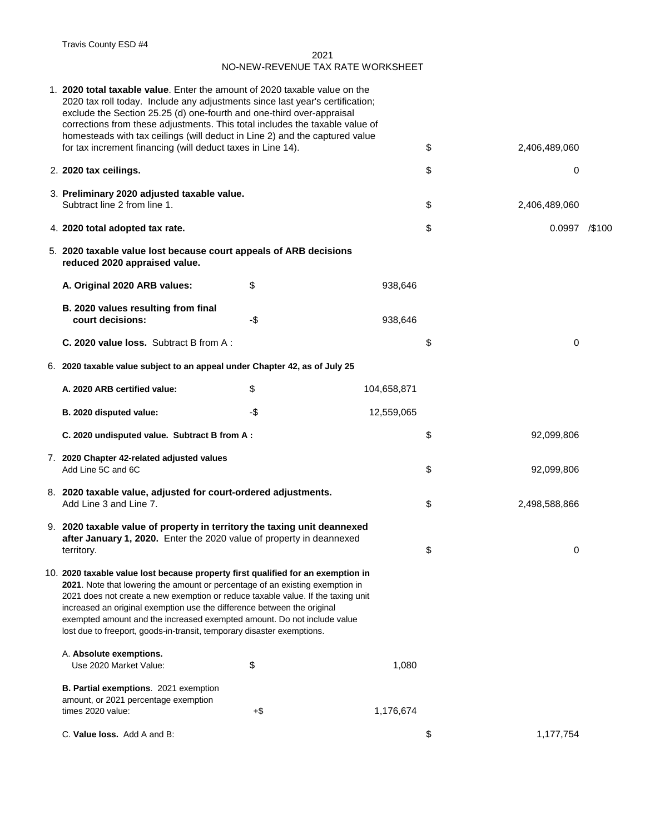Travis County ESD #4

| 1. 2020 total taxable value. Enter the amount of 2020 taxable value on the<br>2020 tax roll today. Include any adjustments since last year's certification;<br>exclude the Section 25.25 (d) one-fourth and one-third over-appraisal<br>corrections from these adjustments. This total includes the taxable value of |      |             |                       |                |        |
|----------------------------------------------------------------------------------------------------------------------------------------------------------------------------------------------------------------------------------------------------------------------------------------------------------------------|------|-------------|-----------------------|----------------|--------|
| homesteads with tax ceilings (will deduct in Line 2) and the captured value<br>for tax increment financing (will deduct taxes in Line 14).                                                                                                                                                                           |      |             | \$                    | 2,406,489,060  |        |
| 2. 2020 tax ceilings.                                                                                                                                                                                                                                                                                                |      |             | \$                    | $\overline{0}$ |        |
| 3. Preliminary 2020 adjusted taxable value.<br>Subtract line 2 from line 1.                                                                                                                                                                                                                                          |      |             | $\boldsymbol{\theta}$ | 2,406,489,060  |        |
| 4. 2020 total adopted tax rate.                                                                                                                                                                                                                                                                                      |      |             | \$                    | 0.0997         | /\$100 |
| 5. 2020 taxable value lost because court appeals of ARB decisions<br>reduced 2020 appraised value.                                                                                                                                                                                                                   |      |             |                       |                |        |
| A. Original 2020 ARB values:                                                                                                                                                                                                                                                                                         | \$   | 938,646     |                       |                |        |
| B. 2020 values resulting from final<br>court decisions:                                                                                                                                                                                                                                                              | $-5$ | 938,646     |                       |                |        |
| <b>C. 2020 value loss.</b> Subtract B from A:                                                                                                                                                                                                                                                                        |      |             | \$                    | 0              |        |
| 6. 2020 taxable value subject to an appeal under Chapter 42, as of July 25                                                                                                                                                                                                                                           |      |             |                       |                |        |
| A. 2020 ARB certified value:                                                                                                                                                                                                                                                                                         | \$   | 104,658,871 |                       |                |        |
| B. 2020 disputed value:                                                                                                                                                                                                                                                                                              | -\$  | 12,559,065  |                       |                |        |
| C. 2020 undisputed value. Subtract B from A:                                                                                                                                                                                                                                                                         |      |             | \$                    | 92,099,806     |        |
| 7. 2020 Chapter 42-related adjusted values<br>Add Line 5C and 6C                                                                                                                                                                                                                                                     |      |             | \$                    | 92,099,806     |        |
| 8. 2020 taxable value, adjusted for court-ordered adjustments.<br>Add Line 3 and Line 7.                                                                                                                                                                                                                             |      |             | \$                    | 2,498,588,866  |        |
| 9. 2020 taxable value of property in territory the taxing unit deannexed<br>after January 1, 2020. Enter the 2020 value of property in deannexed<br>territory.                                                                                                                                                       |      |             | \$                    | 0              |        |
| 10. 2020 taxable value lost because property first qualified for an exemption in<br>2021. Note that lowering the amount or percentage of an existing exemption in<br>2021 does not create a new exemption or reduce taxable value. If the taxing unit                                                                |      |             |                       |                |        |

increased an original exemption use the difference between the original exempted amount and the increased exempted amount. Do not include value lost due to freeport, goods-in-transit, temporary disaster exemptions.

| A. Absolute exemptions.<br>Use 2020 Market Value:                                                         | \$  | 1,080     |
|-----------------------------------------------------------------------------------------------------------|-----|-----------|
| <b>B. Partial exemptions.</b> 2021 exemption<br>amount, or 2021 percentage exemption<br>times 2020 value: | +\$ | 1,176,674 |

**C. Value loss.** Add A and B:  $\frac{1}{2}$  1,177,754

2021 NO-NEW-REVENUE TAX RATE WORKSHEET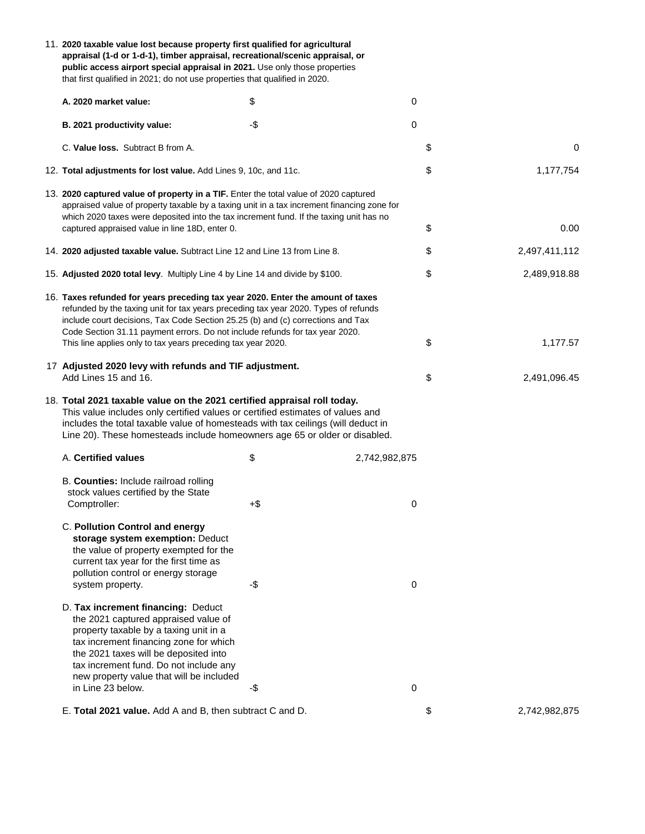| 11. 2020 taxable value lost because property first qualified for agricultural<br>appraisal (1-d or 1-d-1), timber appraisal, recreational/scenic appraisal, or<br>public access airport special appraisal in 2021. Use only those properties<br>that first qualified in 2021; do not use properties that qualified in 2020.               |                       |                |    |                  |
|-------------------------------------------------------------------------------------------------------------------------------------------------------------------------------------------------------------------------------------------------------------------------------------------------------------------------------------------|-----------------------|----------------|----|------------------|
| A. 2020 market value:                                                                                                                                                                                                                                                                                                                     | \$                    | 0              |    |                  |
| B. 2021 productivity value:                                                                                                                                                                                                                                                                                                               | $-\$$                 | $\overline{0}$ |    |                  |
| C. Value loss. Subtract B from A.                                                                                                                                                                                                                                                                                                         |                       |                | \$ | $\boldsymbol{0}$ |
| 12. Total adjustments for lost value. Add Lines 9, 10c, and 11c.                                                                                                                                                                                                                                                                          |                       |                | \$ | 1,177,754        |
| 13. 2020 captured value of property in a TIF. Enter the total value of 2020 captured<br>appraised value of property taxable by a taxing unit in a tax increment financing zone for<br>which 2020 taxes were deposited into the tax increment fund. If the taxing unit has no                                                              |                       |                |    |                  |
| captured appraised value in line 18D, enter 0.                                                                                                                                                                                                                                                                                            |                       |                | \$ | 0.00             |
| 14. 2020 adjusted taxable value. Subtract Line 12 and Line 13 from Line 8.                                                                                                                                                                                                                                                                |                       |                | \$ | 2,497,411,112    |
| 15. Adjusted 2020 total levy. Multiply Line 4 by Line 14 and divide by \$100.                                                                                                                                                                                                                                                             |                       |                | \$ | 2,489,918.88     |
| 16. Taxes refunded for years preceding tax year 2020. Enter the amount of taxes<br>refunded by the taxing unit for tax years preceding tax year 2020. Types of refunds<br>include court decisions, Tax Code Section 25.25 (b) and (c) corrections and Tax<br>Code Section 31.11 payment errors. Do not include refunds for tax year 2020. |                       |                |    |                  |
| This line applies only to tax years preceding tax year 2020.                                                                                                                                                                                                                                                                              |                       |                | \$ | 1,177.57         |
| 17 Adjusted 2020 levy with refunds and TIF adjustment.<br>Add Lines 15 and 16.                                                                                                                                                                                                                                                            |                       |                | \$ | 2,491,096.45     |
| 18. Total 2021 taxable value on the 2021 certified appraisal roll today.<br>This value includes only certified values or certified estimates of values and<br>includes the total taxable value of homesteads with tax ceilings (will deduct in<br>Line 20). These homesteads include homeowners age 65 or older or disabled.              |                       |                |    |                  |
| A. Certified values                                                                                                                                                                                                                                                                                                                       | $\boldsymbol{\theta}$ | 2,742,982,875  |    |                  |
| B. Counties: Include railroad rolling<br>stock values certified by the State<br>Comptroller:                                                                                                                                                                                                                                              | $+$ \$                | 0              |    |                  |
| <b>C. Pollution Control and energy</b><br>storage system exemption: Deduct<br>the value of property exempted for the<br>current tax year for the first time as<br>pollution control or energy storage<br>system property.                                                                                                                 | $-\$$                 | 0              |    |                  |

D. **Tax increment financing:** Deduct the 2021 captured appraised value of property taxable by a taxing unit in a tax increment financing zone for which the 2021 taxes will be deposited into tax increment fund. Do not include any new property value that will be included  $\blacksquare$  in Line 23 below.  $\blacksquare$ 

E. **Total 2021 value.** Add A and B, then subtract C and D. \$ 2,742,982,875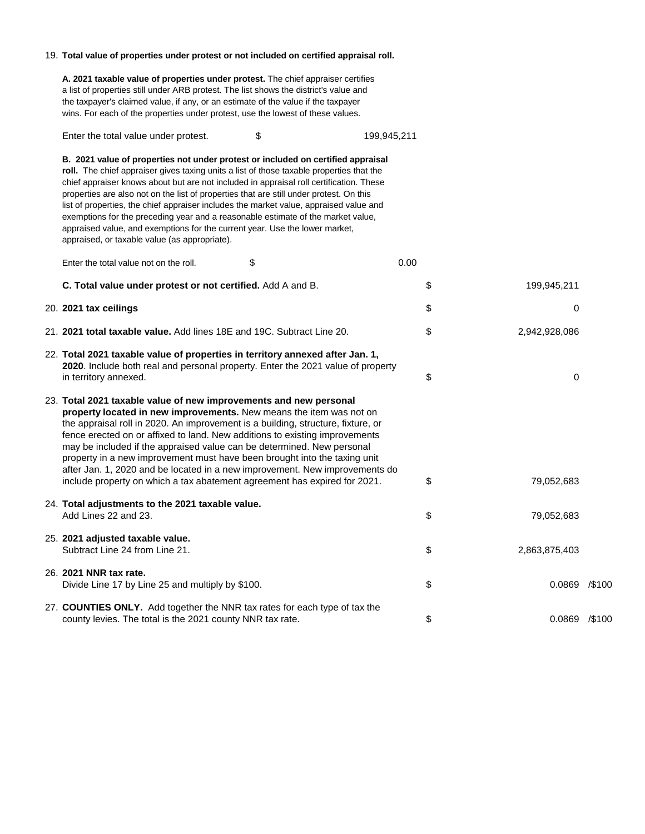### 19. **Total value of properties under protest or not included on certified appraisal roll.**

**A. 2021 taxable value of properties under protest.** The chief appraiser certifies a list of properties still under ARB protest. The list shows the district's value and the taxpayer's claimed value, if any, or an estimate of the value if the taxpayer wins. For each of the properties under protest, use the lowest of these values.

Enter the total value under protest. \$ 199,945,211

**B. 2021 value of properties not under protest or included on certified appraisal roll.** The chief appraiser gives taxing units a list of those taxable properties that the chief appraiser knows about but are not included in appraisal roll certification. These properties are also not on the list of properties that are still under protest. On this list of properties, the chief appraiser includes the market value, appraised value and exemptions for the preceding year and a reasonable estimate of the market value, appraised value, and exemptions for the current year. Use the lower market, appraised, or taxable value (as appropriate).

| Enter the total value not on the roll.                                                                                                                                                                                                                                                                                                                                                                                                                                                                                                                                                                                         | \$<br>0.00 |                  |        |
|--------------------------------------------------------------------------------------------------------------------------------------------------------------------------------------------------------------------------------------------------------------------------------------------------------------------------------------------------------------------------------------------------------------------------------------------------------------------------------------------------------------------------------------------------------------------------------------------------------------------------------|------------|------------------|--------|
| C. Total value under protest or not certified. Add A and B.                                                                                                                                                                                                                                                                                                                                                                                                                                                                                                                                                                    | \$         | 199,945,211      |        |
| 20. 2021 tax ceilings                                                                                                                                                                                                                                                                                                                                                                                                                                                                                                                                                                                                          | \$         | $\boldsymbol{0}$ |        |
| 21. 2021 total taxable value. Add lines 18E and 19C. Subtract Line 20.                                                                                                                                                                                                                                                                                                                                                                                                                                                                                                                                                         | \$         | 2,942,928,086    |        |
| 22. Total 2021 taxable value of properties in territory annexed after Jan. 1,<br>2020. Include both real and personal property. Enter the 2021 value of property<br>in territory annexed.                                                                                                                                                                                                                                                                                                                                                                                                                                      | \$         | 0                |        |
| 23. Total 2021 taxable value of new improvements and new personal<br>property located in new improvements. New means the item was not on<br>the appraisal roll in 2020. An improvement is a building, structure, fixture, or<br>fence erected on or affixed to land. New additions to existing improvements<br>may be included if the appraised value can be determined. New personal<br>property in a new improvement must have been brought into the taxing unit<br>after Jan. 1, 2020 and be located in a new improvement. New improvements do<br>include property on which a tax abatement agreement has expired for 2021. | \$         | 79,052,683       |        |
| 24. Total adjustments to the 2021 taxable value.<br>Add Lines 22 and 23.                                                                                                                                                                                                                                                                                                                                                                                                                                                                                                                                                       | \$         | 79,052,683       |        |
| 25. 2021 adjusted taxable value.<br>Subtract Line 24 from Line 21.                                                                                                                                                                                                                                                                                                                                                                                                                                                                                                                                                             | \$         | 2,863,875,403    |        |
| 26. 2021 NNR tax rate.<br>Divide Line 17 by Line 25 and multiply by \$100.                                                                                                                                                                                                                                                                                                                                                                                                                                                                                                                                                     | \$         | 0.0869           | /\$100 |

## 27. **COUNTIES ONLY.** Add together the NNR tax rates for each type of tax the county levies. The total is the 2021 county NNR tax rate.  $$$  \$ 0.0869 /\$100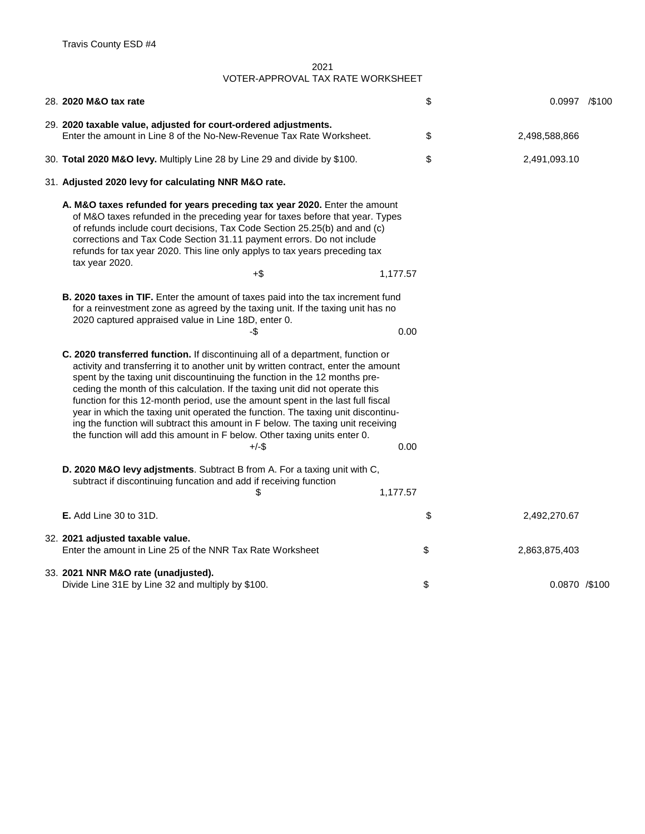|                                                                                                                                                                                                                                                                                                                                                                                                                                                                                                                                                                                                                                                                                                  | 28. 2020 M&O tax rate                                                                                                                                                                                                                                                                                                                                                                                             | \$             |  | $0.0997$ /\$100 |  |
|--------------------------------------------------------------------------------------------------------------------------------------------------------------------------------------------------------------------------------------------------------------------------------------------------------------------------------------------------------------------------------------------------------------------------------------------------------------------------------------------------------------------------------------------------------------------------------------------------------------------------------------------------------------------------------------------------|-------------------------------------------------------------------------------------------------------------------------------------------------------------------------------------------------------------------------------------------------------------------------------------------------------------------------------------------------------------------------------------------------------------------|----------------|--|-----------------|--|
|                                                                                                                                                                                                                                                                                                                                                                                                                                                                                                                                                                                                                                                                                                  | 29. 2020 taxable value, adjusted for court-ordered adjustments.<br>Enter the amount in Line 8 of the No-New-Revenue Tax Rate Worksheet.                                                                                                                                                                                                                                                                           | \$             |  | 2,498,588,866   |  |
|                                                                                                                                                                                                                                                                                                                                                                                                                                                                                                                                                                                                                                                                                                  | 30. Total 2020 M&O levy. Multiply Line 28 by Line 29 and divide by \$100.                                                                                                                                                                                                                                                                                                                                         | \$             |  | 2,491,093.10    |  |
|                                                                                                                                                                                                                                                                                                                                                                                                                                                                                                                                                                                                                                                                                                  | 31. Adjusted 2020 levy for calculating NNR M&O rate.                                                                                                                                                                                                                                                                                                                                                              |                |  |                 |  |
|                                                                                                                                                                                                                                                                                                                                                                                                                                                                                                                                                                                                                                                                                                  | A. M&O taxes refunded for years preceding tax year 2020. Enter the amount<br>of M&O taxes refunded in the preceding year for taxes before that year. Types<br>of refunds include court decisions, Tax Code Section 25.25(b) and and (c)<br>corrections and Tax Code Section 31.11 payment errors. Do not include<br>refunds for tax year 2020. This line only applys to tax years preceding tax<br>tax year 2020. |                |  |                 |  |
|                                                                                                                                                                                                                                                                                                                                                                                                                                                                                                                                                                                                                                                                                                  | $+\$$                                                                                                                                                                                                                                                                                                                                                                                                             | 1,177.57       |  |                 |  |
|                                                                                                                                                                                                                                                                                                                                                                                                                                                                                                                                                                                                                                                                                                  | <b>B. 2020 taxes in TIF.</b> Enter the amount of taxes paid into the tax increment fund<br>for a reinvestment zone as agreed by the taxing unit. If the taxing unit has no<br>2020 captured appraised value in Line 18D, enter 0.<br>-\$                                                                                                                                                                          | 0.00           |  |                 |  |
| C. 2020 transferred function. If discontinuing all of a department, function or<br>activity and transferring it to another unit by written contract, enter the amount<br>spent by the taxing unit discountinuing the function in the 12 months pre-<br>ceding the month of this calculation. If the taxing unit did not operate this<br>function for this 12-month period, use the amount spent in the last full fiscal<br>year in which the taxing unit operated the function. The taxing unit discontinu-<br>ing the function will subtract this amount in F below. The taxing unit receiving<br>the function will add this amount in F below. Other taxing units enter 0.<br>$+/-$ \$<br>0.00 |                                                                                                                                                                                                                                                                                                                                                                                                                   |                |  |                 |  |
|                                                                                                                                                                                                                                                                                                                                                                                                                                                                                                                                                                                                                                                                                                  | D. 2020 M&O levy adjstments. Subtract B from A. For a taxing unit with C,<br>subtract if discontinuing funcation and add if receiving function                                                                                                                                                                                                                                                                    | 1,177.57       |  |                 |  |
|                                                                                                                                                                                                                                                                                                                                                                                                                                                                                                                                                                                                                                                                                                  | <b>E.</b> Add Line 30 to 31D.                                                                                                                                                                                                                                                                                                                                                                                     | \$             |  | 2,492,270.67    |  |
|                                                                                                                                                                                                                                                                                                                                                                                                                                                                                                                                                                                                                                                                                                  | 32. 2021 adjusted taxable value.<br>Enter the amount in Line 25 of the NNR Tax Rate Worksheet                                                                                                                                                                                                                                                                                                                     | \$             |  | 2,863,875,403   |  |
|                                                                                                                                                                                                                                                                                                                                                                                                                                                                                                                                                                                                                                                                                                  | 33. 2021 NNR M&O rate (unadjusted).<br>Divide Line 31E by Line 32 and multiply by \$100.                                                                                                                                                                                                                                                                                                                          | $\mathfrak{L}$ |  | 0.0870 /\$100   |  |

2021 VOTER-APPROVAL TAX RATE WORKSHEET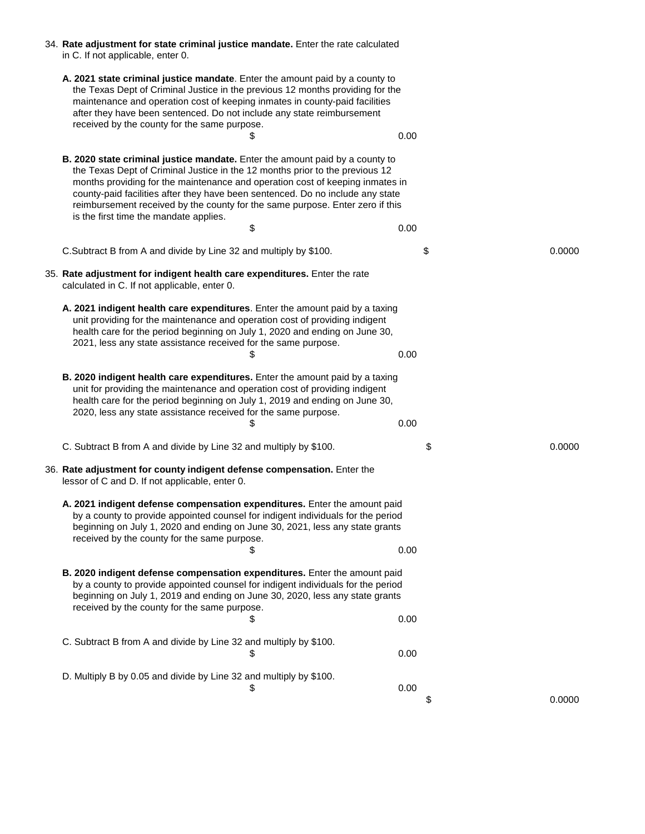| 34. Rate adjustment for state criminal justice mandate. Enter the rate calculated |  |
|-----------------------------------------------------------------------------------|--|
| in C. If not applicable, enter 0.                                                 |  |

**A. 2021 state criminal justice mandate**. Enter the amount paid by a county to the Texas Dept of Criminal Justice in the previous 12 months providing for the maintenance and operation cost of keeping inmates in county-paid facilities after they have been sentenced. Do not include any state reimbursement received by the county for the same purpose.  $\sim$  0.00

**B. 2020 state criminal justice mandate.** Enter the amount paid by a county to the Texas Dept of Criminal Justice in the 12 months prior to the previous 12 months providing for the maintenance and operation cost of keeping inmates in county-paid facilities after they have been sentenced. Do no include any state reimbursement received by the county for the same purpose. Enter zero if this is the first time the mandate applies.

 $\$\,$ 

C.Subtract B from A and divide by Line 32 and multiply by \$100. \$ 0.0000

C. Subtract B from A and divide by Line 32 and multiply by \$100.  $\$\,$  0.00

- 35. **Rate adjustment for indigent health care expenditures.** Enter the rate calculated in C. If not applicable, enter 0.
	- **A. 2021 indigent health care expenditures**. Enter the amount paid by a taxing unit providing for the maintenance and operation cost of providing indigent health care for the period beginning on July 1, 2020 and ending on June 30, 2021, less any state assistance received for the same purpose.  $\sim$  0.00
	- **B. 2020 indigent health care expenditures.** Enter the amount paid by a taxing unit for providing the maintenance and operation cost of providing indigent health care for the period beginning on July 1, 2019 and ending on June 30, 2020, less any state assistance received for the same purpose.  $\$\,$
	- C. Subtract B from A and divide by Line 32 and multiply by \$100. \$ 0.0000
- 36. **Rate adjustment for county indigent defense compensation.** Enter the lessor of C and D. If not applicable, enter 0.
	- **A. 2021 indigent defense compensation expenditures.** Enter the amount paid by a county to provide appointed counsel for indigent individuals for the period beginning on July 1, 2020 and ending on June 30, 2021, less any state grants received by the county for the same purpose.

$$
\textcolor{red}{\textbf{\$}} \qquad \qquad \textcolor{red}{\textbf{\$}} \qquad \qquad \textcolor{red}{\textbf{\$}} \qquad \qquad \textcolor{red}{\textbf{\$}} \qquad \textcolor{red}{\textbf{\$}} \qquad \textcolor{red}{\textbf{\$}} \qquad \textcolor{red}{\textbf{\$}} \qquad \textcolor{red}{\textbf{\$}} \qquad \textcolor{red}{\textbf{\$}} \qquad \textcolor{red}{\textbf{\$}} \qquad \textcolor{red}{\textbf{\$}} \qquad \textcolor{red}{\textbf{\$}} \qquad \textcolor{red}{\textbf{\$}} \qquad \textcolor{red}{\textbf{\$}} \qquad \textcolor{red}{\textbf{\$}} \qquad \textcolor{red}{\textbf{\$}} \qquad \textcolor{red}{\textbf{\$}} \qquad \textcolor{red}{\textbf{\$}} \qquad \textcolor{red}{\textbf{\$}} \qquad \textcolor{red}{\textbf{\$}} \qquad \textcolor{red}{\textbf{\$}} \qquad \textcolor{red}{\textbf{\$}} \qquad \textcolor{red}{\textbf{\$}} \qquad \textcolor{red}{\textbf{\$}} \qquad \textcolor{red}{\textbf{\$}} \qquad \textcolor{red}{\textbf{\$}} \qquad \textcolor{red}{\textbf{\$}} \qquad \textcolor{red}{\textbf{\$}} \qquad \textcolor{red}{\textbf{\$}} \qquad \textcolor{red}{\textbf{\$}} \qquad \textcolor{red}{\textbf{\$}} \qquad \textcolor{red}{\textbf{\$}} \qquad \textcolor{red}{\textbf{\$}} \qquad \textcolor{red}{\textbf{\$}} \qquad \textcolor{red}{\textbf{\$}} \qquad \textcolor{red}{\textbf{\$}} \qquad \textcolor{red}{\textbf{\$}} \qquad \textcolor{red}{\textbf{\$}} \qquad \textcolor{red}{\textbf{\$}} \qquad \textcolor{red}{\textbf{\$}} \qquad \textcolor{red}{\textbf{\$}} \qquad \textcolor{red}{\textbf{\$}} \qquad \textcolor{red}{\textbf{\$}} \qquad \textcolor{red}{\textbf{\$}} \qquad \textcolor{red}{\textbf{\$}} \qquad \textcolor{red}{\textbf{\$}} \qquad \textcolor{red}{\textbf{\$}} \qquad \textcolor{red}{\textbf{\$}} \qquad \textcolor{red}{\textbf{\$}} \qquad \textcolor{red}{\textbf{\$}} \qquad \
$$

**B. 2020 indigent defense compensation expenditures.** Enter the amount paid by a county to provide appointed counsel for indigent individuals for the period beginning on July 1, 2019 and ending on June 30, 2020, less any state grants

received by the county for the same purpose.

 $\$\,$ 

 $\$\color{red}0.00$ 

D. Multiply B by 0.05 and divide by Line 32 and multiply by \$100.

\$ 0.0000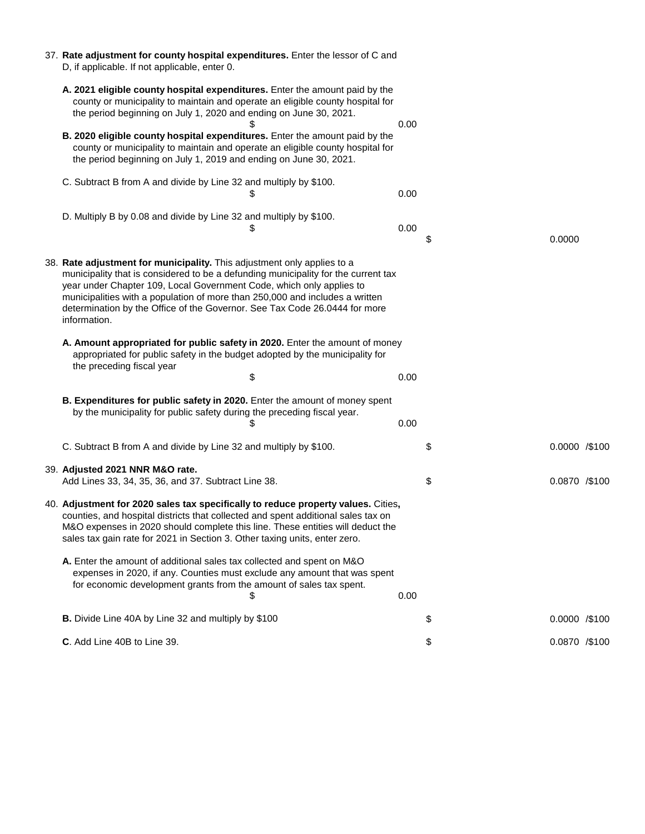| 37. Rate adjustment for county hospital expenditures. Enter the lessor of C and<br>D, if applicable. If not applicable, enter 0.                                                                                                                                                                                                                                                                                    |      |                       |        |                |
|---------------------------------------------------------------------------------------------------------------------------------------------------------------------------------------------------------------------------------------------------------------------------------------------------------------------------------------------------------------------------------------------------------------------|------|-----------------------|--------|----------------|
| A. 2021 eligible county hospital expenditures. Enter the amount paid by the<br>county or municipality to maintain and operate an eligible county hospital for<br>the period beginning on July 1, 2020 and ending on June 30, 2021.                                                                                                                                                                                  | 0.00 |                       |        |                |
| <b>B. 2020 eligible county hospital expenditures.</b> Enter the amount paid by the<br>county or municipality to maintain and operate an eligible county hospital for<br>the period beginning on July 1, 2019 and ending on June 30, 2021.                                                                                                                                                                           |      |                       |        |                |
| C. Subtract B from A and divide by Line 32 and multiply by \$100.<br>\$                                                                                                                                                                                                                                                                                                                                             | 0.00 |                       |        |                |
| D. Multiply B by 0.08 and divide by Line 32 and multiply by \$100.                                                                                                                                                                                                                                                                                                                                                  | 0.00 | \$                    | 0.0000 |                |
| 38. Rate adjustment for municipality. This adjustment only applies to a<br>municipality that is considered to be a defunding municipality for the current tax<br>year under Chapter 109, Local Government Code, which only applies to<br>municipalities with a population of more than 250,000 and includes a written<br>determination by the Office of the Governor. See Tax Code 26.0444 for more<br>information. |      |                       |        |                |
| A. Amount appropriated for public safety in 2020. Enter the amount of money<br>appropriated for public safety in the budget adopted by the municipality for<br>the preceding fiscal year                                                                                                                                                                                                                            |      |                       |        |                |
| \$                                                                                                                                                                                                                                                                                                                                                                                                                  | 0.00 |                       |        |                |
| <b>B. Expenditures for public safety in 2020.</b> Enter the amount of money spent<br>by the municipality for public safety during the preceding fiscal year.                                                                                                                                                                                                                                                        | 0.00 |                       |        |                |
| C. Subtract B from A and divide by Line 32 and multiply by \$100.                                                                                                                                                                                                                                                                                                                                                   |      | \$                    |        | 0.0000 / \$100 |
| 39. Adjusted 2021 NNR M&O rate.<br>Add Lines 33, 34, 35, 36, and 37. Subtract Line 38.                                                                                                                                                                                                                                                                                                                              |      | $\boldsymbol{\theta}$ |        | 0.0870 /\$100  |
| 40. Adjustment for 2020 sales tax specifically to reduce property values. Cities,<br>counties, and hospital districts that collected and spent additional sales tax on<br>M&O expenses in 2020 should complete this line. These entities will deduct the<br>sales tax gain rate for 2021 in Section 3. Other taxing units, enter zero.                                                                              |      |                       |        |                |
| A. Enter the amount of additional sales tax collected and spent on M&O<br>expenses in 2020, if any. Counties must exclude any amount that was spent<br>for economic development grants from the amount of sales tax spent.                                                                                                                                                                                          | 0.00 |                       |        |                |

**C**. Add Line 40B to Line 39. **S** 0.0870 /\$100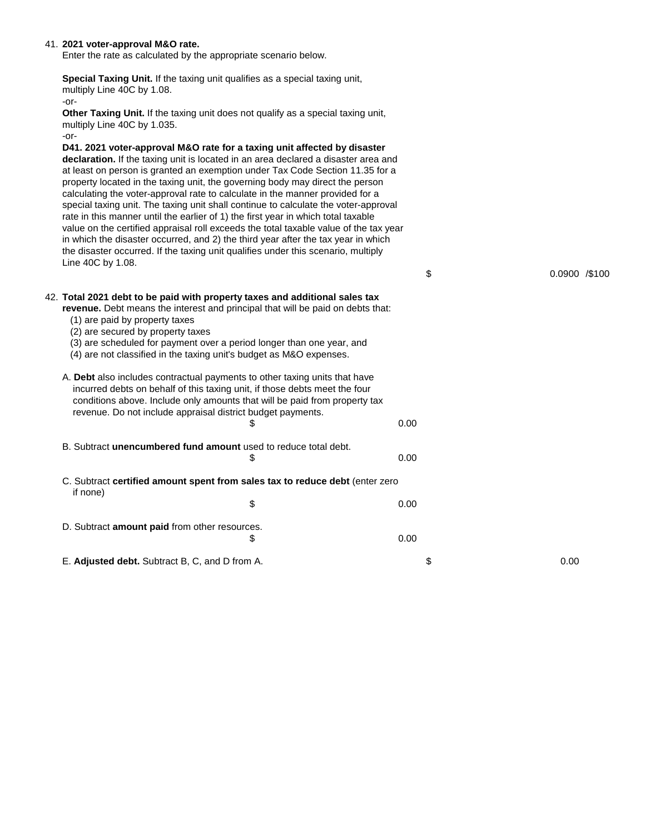| 41. 2021 voter-approval M&O rate.<br>Enter the rate as calculated by the appropriate scenario below.                                                                                                                                                                                                                                                                                                                                                                                                                                                                                                                                                                                                                                                                                                                                                                                  |      |                |  |
|---------------------------------------------------------------------------------------------------------------------------------------------------------------------------------------------------------------------------------------------------------------------------------------------------------------------------------------------------------------------------------------------------------------------------------------------------------------------------------------------------------------------------------------------------------------------------------------------------------------------------------------------------------------------------------------------------------------------------------------------------------------------------------------------------------------------------------------------------------------------------------------|------|----------------|--|
| <b>Special Taxing Unit.</b> If the taxing unit qualifies as a special taxing unit,<br>multiply Line 40C by 1.08.<br>$-0r-$                                                                                                                                                                                                                                                                                                                                                                                                                                                                                                                                                                                                                                                                                                                                                            |      |                |  |
| Other Taxing Unit. If the taxing unit does not qualify as a special taxing unit,<br>multiply Line 40C by 1.035.<br>$-0r-$                                                                                                                                                                                                                                                                                                                                                                                                                                                                                                                                                                                                                                                                                                                                                             |      |                |  |
| D41. 2021 voter-approval M&O rate for a taxing unit affected by disaster<br>declaration. If the taxing unit is located in an area declared a disaster area and<br>at least on person is granted an exemption under Tax Code Section 11.35 for a<br>property located in the taxing unit, the governing body may direct the person<br>calculating the voter-approval rate to calculate in the manner provided for a<br>special taxing unit. The taxing unit shall continue to calculate the voter-approval<br>rate in this manner until the earlier of 1) the first year in which total taxable<br>value on the certified appraisal roll exceeds the total taxable value of the tax year<br>in which the disaster occurred, and 2) the third year after the tax year in which<br>the disaster occurred. If the taxing unit qualifies under this scenario, multiply<br>Line 40C by 1.08. |      |                |  |
|                                                                                                                                                                                                                                                                                                                                                                                                                                                                                                                                                                                                                                                                                                                                                                                                                                                                                       | \$   | 0.0900 / \$100 |  |
| 42. Total 2021 debt to be paid with property taxes and additional sales tax<br>revenue. Debt means the interest and principal that will be paid on debts that:<br>(1) are paid by property taxes<br>(2) are secured by property taxes<br>(3) are scheduled for payment over a period longer than one year, and<br>(4) are not classified in the taxing unit's budget as M&O expenses.                                                                                                                                                                                                                                                                                                                                                                                                                                                                                                 |      |                |  |
| A. Debt also includes contractual payments to other taxing units that have<br>incurred debts on behalf of this taxing unit, if those debts meet the four<br>conditions above. Include only amounts that will be paid from property tax<br>revenue. Do not include appraisal district budget payments.<br>Ъ                                                                                                                                                                                                                                                                                                                                                                                                                                                                                                                                                                            | 0.00 |                |  |
| B. Subtract unencumbered fund amount used to reduce total debt.                                                                                                                                                                                                                                                                                                                                                                                                                                                                                                                                                                                                                                                                                                                                                                                                                       | 0.00 |                |  |
| C. Subtract certified amount spent from sales tax to reduce debt (enter zero<br>if none)                                                                                                                                                                                                                                                                                                                                                                                                                                                                                                                                                                                                                                                                                                                                                                                              |      |                |  |
| \$                                                                                                                                                                                                                                                                                                                                                                                                                                                                                                                                                                                                                                                                                                                                                                                                                                                                                    | 0.00 |                |  |
| D. Subtract amount paid from other resources.                                                                                                                                                                                                                                                                                                                                                                                                                                                                                                                                                                                                                                                                                                                                                                                                                                         |      |                |  |
| \$                                                                                                                                                                                                                                                                                                                                                                                                                                                                                                                                                                                                                                                                                                                                                                                                                                                                                    | 0.00 |                |  |
| E. Adjusted debt. Subtract B, C, and D from A.                                                                                                                                                                                                                                                                                                                                                                                                                                                                                                                                                                                                                                                                                                                                                                                                                                        | \$   | 0.00           |  |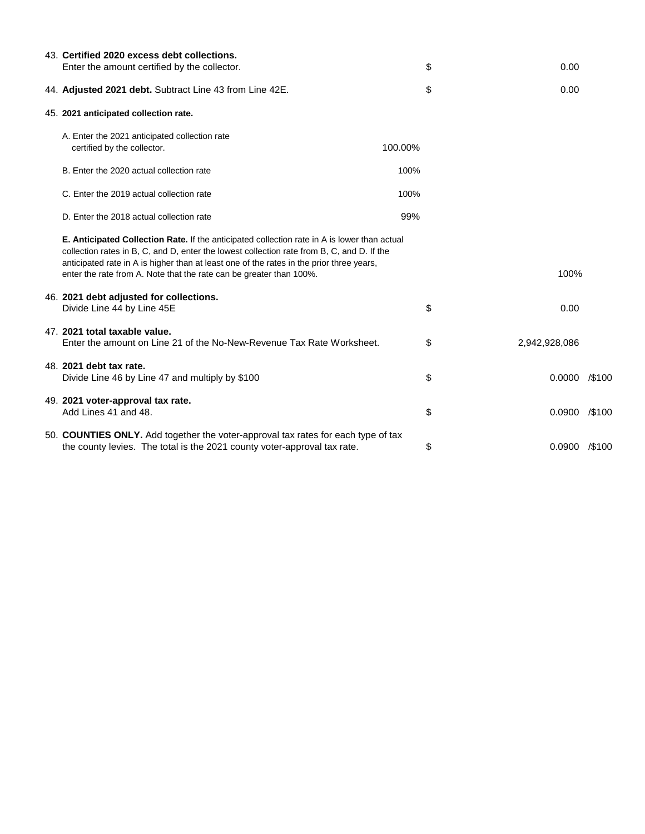| 43. Certified 2020 excess debt collections.                                                                                                                                                                                                                                                                                                                          |         |               |           |
|----------------------------------------------------------------------------------------------------------------------------------------------------------------------------------------------------------------------------------------------------------------------------------------------------------------------------------------------------------------------|---------|---------------|-----------|
| Enter the amount certified by the collector.                                                                                                                                                                                                                                                                                                                         | \$      | 0.00          |           |
| 44. Adjusted 2021 debt. Subtract Line 43 from Line 42E.                                                                                                                                                                                                                                                                                                              | \$      | 0.00          |           |
| 45. 2021 anticipated collection rate.                                                                                                                                                                                                                                                                                                                                |         |               |           |
| A. Enter the 2021 anticipated collection rate<br>certified by the collector.                                                                                                                                                                                                                                                                                         | 100.00% |               |           |
| B. Enter the 2020 actual collection rate                                                                                                                                                                                                                                                                                                                             | 100%    |               |           |
| C. Enter the 2019 actual collection rate                                                                                                                                                                                                                                                                                                                             | 100%    |               |           |
| D. Enter the 2018 actual collection rate                                                                                                                                                                                                                                                                                                                             | 99%     |               |           |
| <b>E. Anticipated Collection Rate.</b> If the anticipated collection rate in A is lower than actual<br>collection rates in B, C, and D, enter the lowest collection rate from B, C, and D. If the<br>anticipated rate in A is higher than at least one of the rates in the prior three years,<br>enter the rate from A. Note that the rate can be greater than 100%. |         | 100%          |           |
| 46. 2021 debt adjusted for collections.<br>Divide Line 44 by Line 45E                                                                                                                                                                                                                                                                                                | \$      | 0.00          |           |
| 47. 2021 total taxable value.<br>Enter the amount on Line 21 of the No-New-Revenue Tax Rate Worksheet.                                                                                                                                                                                                                                                               | \$      | 2,942,928,086 |           |
| 48. 2021 debt tax rate.<br>Divide Line 46 by Line 47 and multiply by \$100                                                                                                                                                                                                                                                                                           | \$      | 0.0000        | $/$ \$100 |
| 49. 2021 voter-approval tax rate.<br>Add Lines 41 and 48.                                                                                                                                                                                                                                                                                                            | \$      | 0.0900        | $/$ \$100 |
| 50. COUNTIES ONLY. Add together the voter-approval tax rates for each type of tax<br>the county levies. The total is the 2021 county voter-approval tax rate.                                                                                                                                                                                                        | \$      | 0.0900        | $/$ \$100 |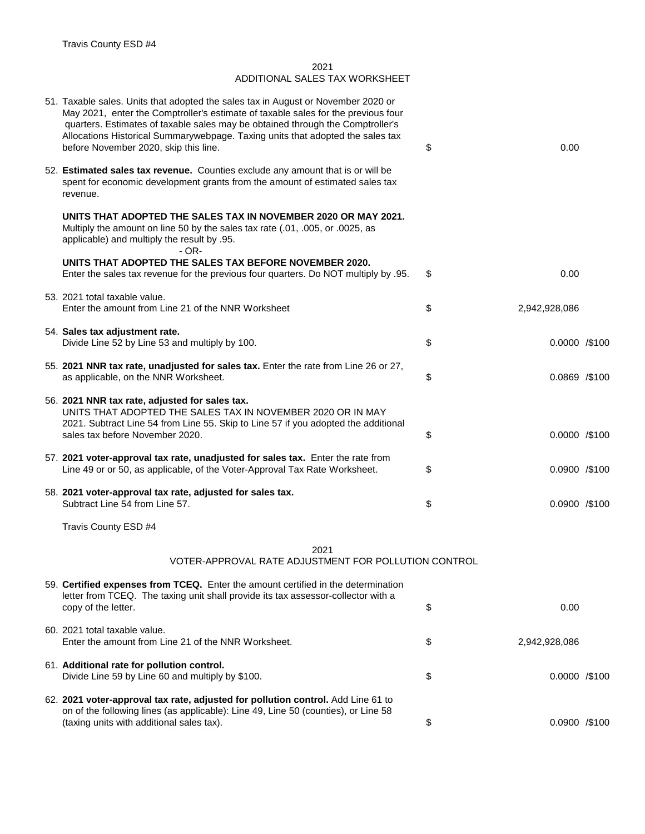| 51. Taxable sales. Units that adopted the sales tax in August or November 2020 or<br>May 2021, enter the Comptroller's estimate of taxable sales for the previous four<br>quarters. Estimates of taxable sales may be obtained through the Comptroller's<br>Allocations Historical Summarywebpage. Taxing units that adopted the sales tax<br>before November 2020, skip this line. | \$<br>0.00            |  |
|-------------------------------------------------------------------------------------------------------------------------------------------------------------------------------------------------------------------------------------------------------------------------------------------------------------------------------------------------------------------------------------|-----------------------|--|
| 52. Estimated sales tax revenue. Counties exclude any amount that is or will be<br>spent for economic development grants from the amount of estimated sales tax<br>revenue.                                                                                                                                                                                                         |                       |  |
| UNITS THAT ADOPTED THE SALES TAX IN NOVEMBER 2020 OR MAY 2021.<br>Multiply the amount on line 50 by the sales tax rate (.01, .005, or .0025, as<br>applicable) and multiply the result by .95.<br>$-$ OR-                                                                                                                                                                           |                       |  |
| UNITS THAT ADOPTED THE SALES TAX BEFORE NOVEMBER 2020.<br>Enter the sales tax revenue for the previous four quarters. Do NOT multiply by .95.                                                                                                                                                                                                                                       | \$<br>0.00            |  |
|                                                                                                                                                                                                                                                                                                                                                                                     |                       |  |
| 53. 2021 total taxable value.<br>Enter the amount from Line 21 of the NNR Worksheet                                                                                                                                                                                                                                                                                                 | \$<br>2,942,928,086   |  |
| 54. Sales tax adjustment rate.<br>Divide Line 52 by Line 53 and multiply by 100.                                                                                                                                                                                                                                                                                                    | \$<br>0.0000 / \$100  |  |
| 55. 2021 NNR tax rate, unadjusted for sales tax. Enter the rate from Line 26 or 27,<br>as applicable, on the NNR Worksheet.                                                                                                                                                                                                                                                         | \$<br>$0.0869$ /\$100 |  |
| 56. 2021 NNR tax rate, adjusted for sales tax.<br>UNITS THAT ADOPTED THE SALES TAX IN NOVEMBER 2020 OR IN MAY<br>2021. Subtract Line 54 from Line 55. Skip to Line 57 if you adopted the additional<br>sales tax before November 2020.                                                                                                                                              | \$<br>0.0000 / \$100  |  |
| 57. 2021 voter-approval tax rate, unadjusted for sales tax. Enter the rate from<br>Line 49 or or 50, as applicable, of the Voter-Approval Tax Rate Worksheet.                                                                                                                                                                                                                       | \$<br>0.0900 / \$100  |  |
| 58. 2021 voter-approval tax rate, adjusted for sales tax.<br>Subtract Line 54 from Line 57.                                                                                                                                                                                                                                                                                         | \$<br>0.0900 / \$100  |  |
| Travis County ESD #4                                                                                                                                                                                                                                                                                                                                                                |                       |  |

59. **Certified expenses from TCEQ.** Enter the amount certified in the determination letter from TCEQ. The taxing unit shall provide its tax assessor-collector with a copy of the letter.  $\qquad \qquad \bullet$  0.00 60. 2021 total taxable value. Enter the amount from Line 21 of the NNR Worksheet. \$ 2,942,928,086 61. **Additional rate for pollution control.**  Divide Line 59 by Line 60 and multiply by \$100. <br> **Divide Line 59 by Line 60 and multiply by \$100.** <br> **8** 62. **2021 voter-approval tax rate, adjusted for pollution control.** Add Line 61 to on of the following lines (as applicable): Line 49, Line 50 (counties), or Line 58 (taxing units with additional sales tax). \$ 0.0900 /\$100

2021 ADDITIONAL SALES TAX WORKSHEET

2021 VOTER-APPROVAL RATE ADJUSTMENT FOR POLLUTION CONTROL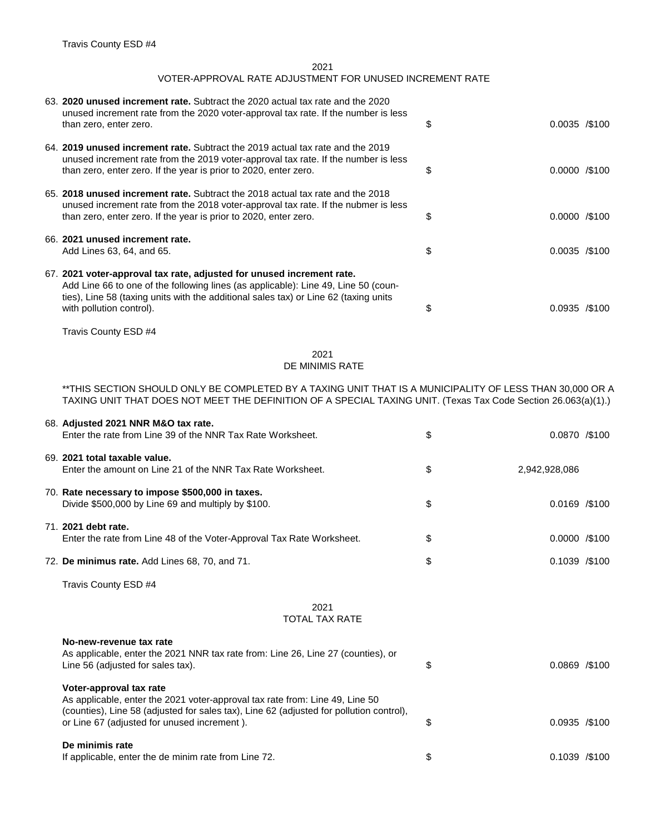| 63. 2020 unused increment rate. Subtract the 2020 actual tax rate and the 2020<br>unused increment rate from the 2020 voter-approval tax rate. If the number is less                                                                                |                      |  |
|-----------------------------------------------------------------------------------------------------------------------------------------------------------------------------------------------------------------------------------------------------|----------------------|--|
| than zero, enter zero.                                                                                                                                                                                                                              | \$<br>0.0035 / \$100 |  |
| 64. 2019 unused increment rate. Subtract the 2019 actual tax rate and the 2019<br>unused increment rate from the 2019 voter-approval tax rate. If the number is less                                                                                |                      |  |
| than zero, enter zero. If the year is prior to 2020, enter zero.                                                                                                                                                                                    | \$<br>0.0000 / \$100 |  |
| 65. 2018 unused increment rate. Subtract the 2018 actual tax rate and the 2018<br>unused increment rate from the 2018 voter-approval tax rate. If the nubmer is less                                                                                |                      |  |
| than zero, enter zero. If the year is prior to 2020, enter zero.                                                                                                                                                                                    | \$<br>0.0000 / \$100 |  |
| 66. 2021 unused increment rate.                                                                                                                                                                                                                     |                      |  |
| Add Lines 63, 64, and 65.                                                                                                                                                                                                                           | \$<br>0.0035 / \$100 |  |
| 67. 2021 voter-approval tax rate, adjusted for unused increment rate.<br>Add Line 66 to one of the following lines (as applicable): Line 49, Line 50 (coun-<br>ties), Line 58 (taxing units with the additional sales tax) or Line 62 (taxing units |                      |  |
| with pollution control).                                                                                                                                                                                                                            | \$<br>0.0935 / \$100 |  |
| Travis County ESD #4                                                                                                                                                                                                                                |                      |  |

| 68. Adjusted 2021 NNR M&O tax rate.<br>Enter the rate from Line 39 of the NNR Tax Rate Worksheet.      | \$<br>0.0870 / \$100  |
|--------------------------------------------------------------------------------------------------------|-----------------------|
| 69. 2021 total taxable value.<br>Enter the amount on Line 21 of the NNR Tax Rate Worksheet.            | \$<br>2,942,928,086   |
| 70. Rate necessary to impose \$500,000 in taxes.<br>Divide \$500,000 by Line 69 and multiply by \$100. | \$<br>$0.0169$ /\$100 |
| 71. 2021 debt rate.<br>Enter the rate from Line 48 of the Voter-Approval Tax Rate Worksheet.           | \$<br>0.0000 / \$100  |
| 72. De minimus rate. Add Lines 68, 70, and 71.                                                         | \$<br>0.1039 / \$100  |

Travis County ESD #4

| No-new-revenue tax rate<br>As applicable, enter the 2021 NNR tax rate from: Line 26, Line 27 (counties), or<br>Line 56 (adjusted for sales tax).                                                                                                  | S  | $0.0869$ /\$100 |
|---------------------------------------------------------------------------------------------------------------------------------------------------------------------------------------------------------------------------------------------------|----|-----------------|
| Voter-approval tax rate<br>As applicable, enter the 2021 voter-approval tax rate from: Line 49, Line 50<br>(counties), Line 58 (adjusted for sales tax), Line 62 (adjusted for pollution control),<br>or Line 67 (adjusted for unused increment). | S  | $0.0935$ /\$100 |
| De minimis rate<br>If applicable, enter the de minim rate from Line 72.                                                                                                                                                                           | \$ | $0.1039$ /\$100 |

\*\*THIS SECTION SHOULD ONLY BE COMPLETED BY A TAXING UNIT THAT IS A MUNICIPALITY OF LESS THAN 30,000 OR A TAXING UNIT THAT DOES NOT MEET THE DEFINITION OF A SPECIAL TAXING UNIT. (Texas Tax Code Section 26.063(a)(1).)

## 2021 TOTAL TAX RATE

## 2021 VOTER-APPROVAL RATE ADJUSTMENT FOR UNUSED INCREMENT RATE

## 2021 DE MINIMIS RATE